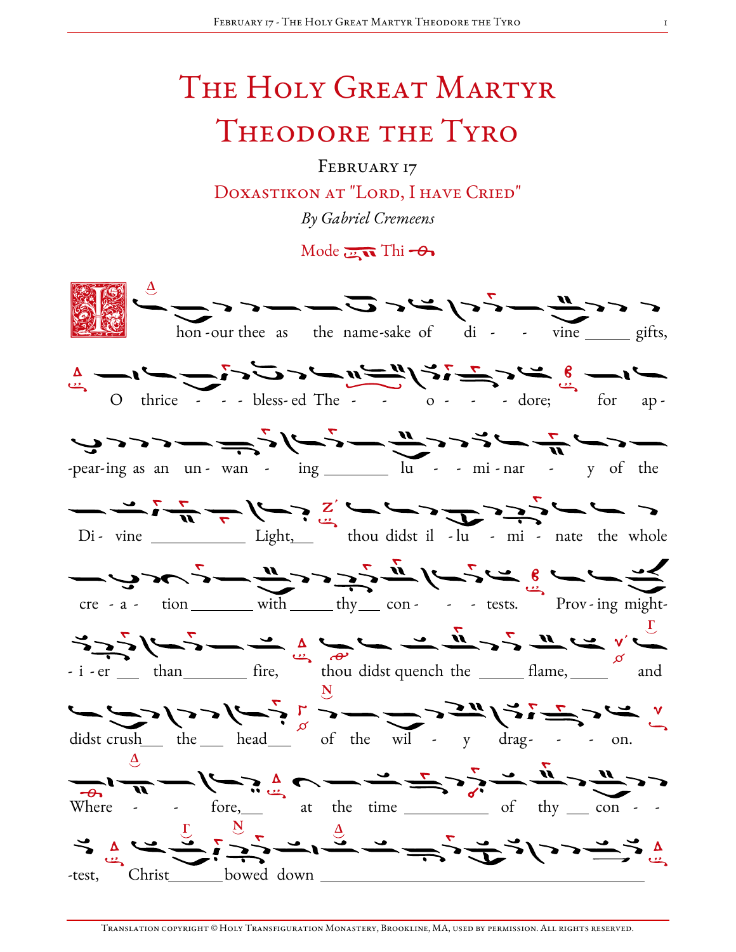## The Holy Great Martyr Theodore the Tyro

FEBRUARY 17 DOXASTIKON AT "LORD, I HAVE CRIED" By Gabriel Cremeens

Mode  $\overline{\cdots}$  Thi  $\rightarrow$ 

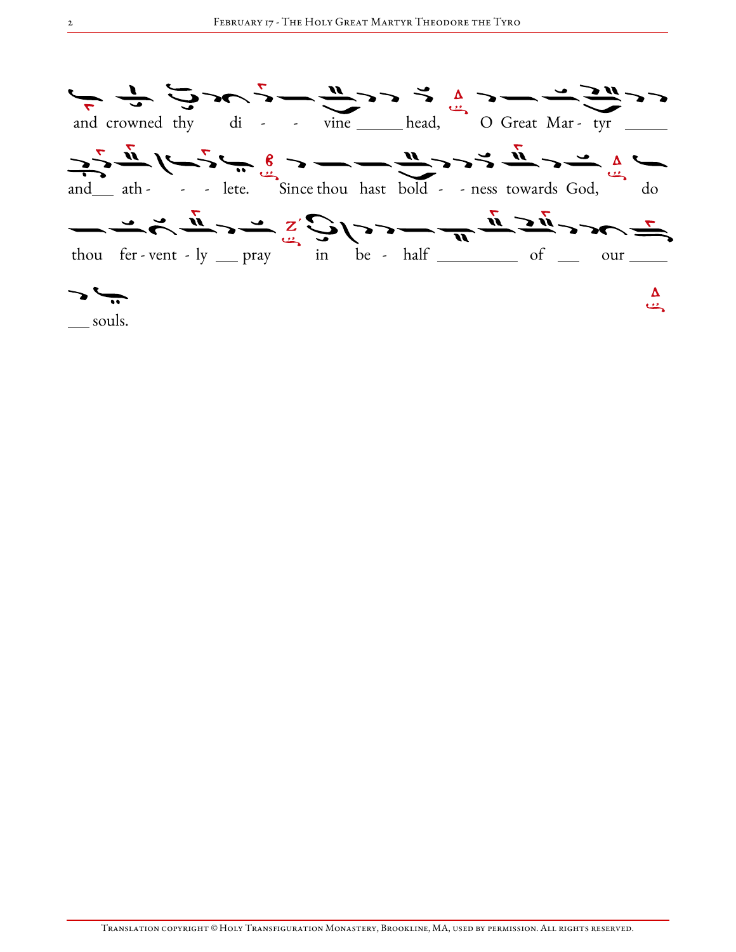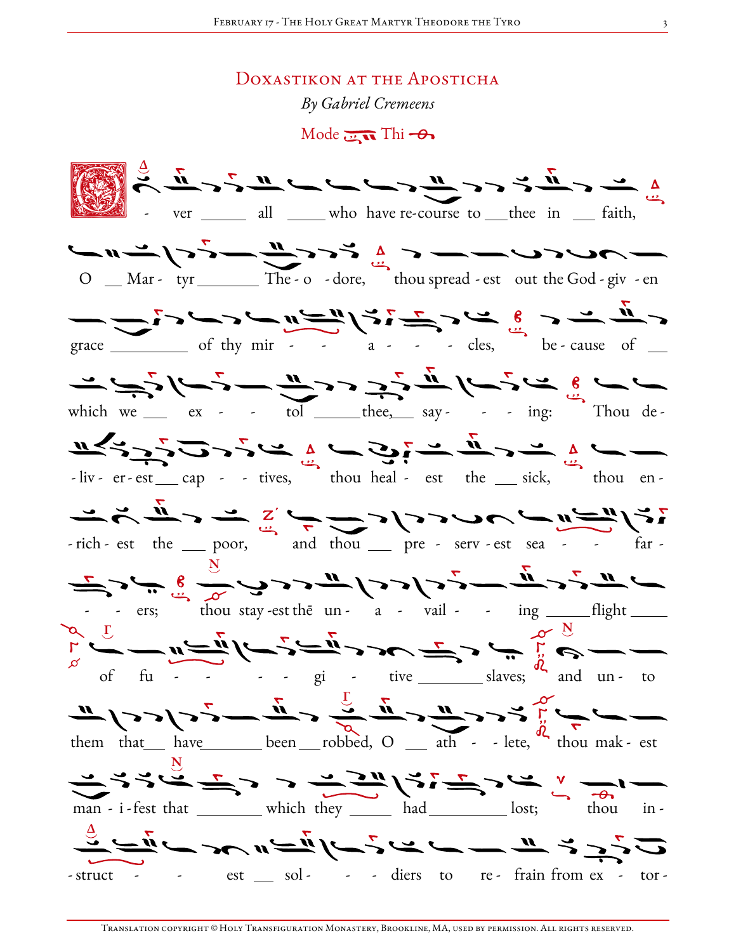## DOXASTIKON AT THE APOSTICHA

By Gabriel Cremeens

Mode  $\overline{\mathbf{u}}$  Thi  $-\theta$